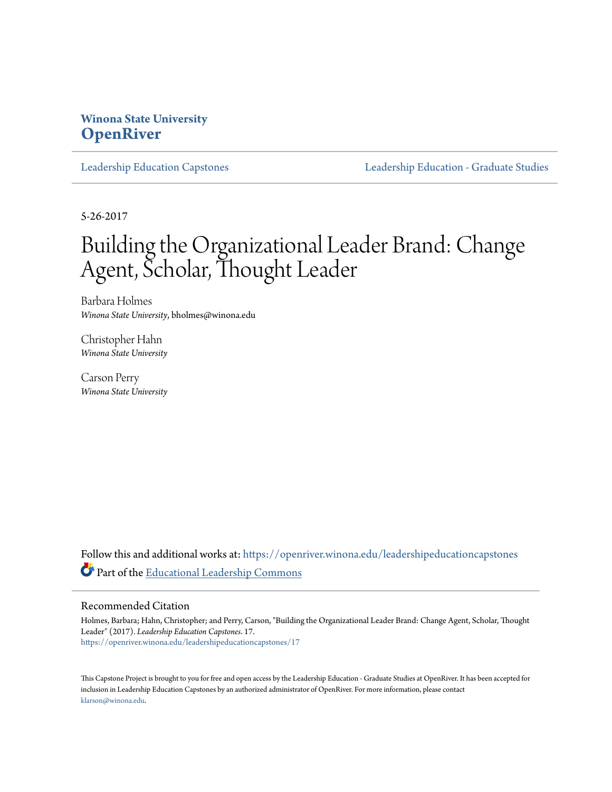### **Winona State University [OpenRiver](https://openriver.winona.edu/?utm_source=openriver.winona.edu%2Fleadershipeducationcapstones%2F17&utm_medium=PDF&utm_campaign=PDFCoverPages)**

[Leadership Education Capstones](https://openriver.winona.edu/leadershipeducationcapstones?utm_source=openriver.winona.edu%2Fleadershipeducationcapstones%2F17&utm_medium=PDF&utm_campaign=PDFCoverPages) [Leadership Education - Graduate Studies](https://openriver.winona.edu/leadershipeducation?utm_source=openriver.winona.edu%2Fleadershipeducationcapstones%2F17&utm_medium=PDF&utm_campaign=PDFCoverPages)

5-26-2017

# Building the Organizational Leader Brand: Change Agent, Scholar, Thought Leader

Barbara Holmes *Winona State University*, bholmes@winona.edu

Christopher Hahn *Winona State University*

Carson Perry *Winona State University*

Follow this and additional works at: [https://openriver.winona.edu/leadershipeducationcapstones](https://openriver.winona.edu/leadershipeducationcapstones?utm_source=openriver.winona.edu%2Fleadershipeducationcapstones%2F17&utm_medium=PDF&utm_campaign=PDFCoverPages) Part of the [Educational Leadership Commons](http://network.bepress.com/hgg/discipline/1230?utm_source=openriver.winona.edu%2Fleadershipeducationcapstones%2F17&utm_medium=PDF&utm_campaign=PDFCoverPages)

#### Recommended Citation

Holmes, Barbara; Hahn, Christopher; and Perry, Carson, "Building the Organizational Leader Brand: Change Agent, Scholar, Thought Leader" (2017). *Leadership Education Capstones*. 17. [https://openriver.winona.edu/leadershipeducationcapstones/17](https://openriver.winona.edu/leadershipeducationcapstones/17?utm_source=openriver.winona.edu%2Fleadershipeducationcapstones%2F17&utm_medium=PDF&utm_campaign=PDFCoverPages)

This Capstone Project is brought to you for free and open access by the Leadership Education - Graduate Studies at OpenRiver. It has been accepted for inclusion in Leadership Education Capstones by an authorized administrator of OpenRiver. For more information, please contact [klarson@winona.edu.](mailto:klarson@winona.edu)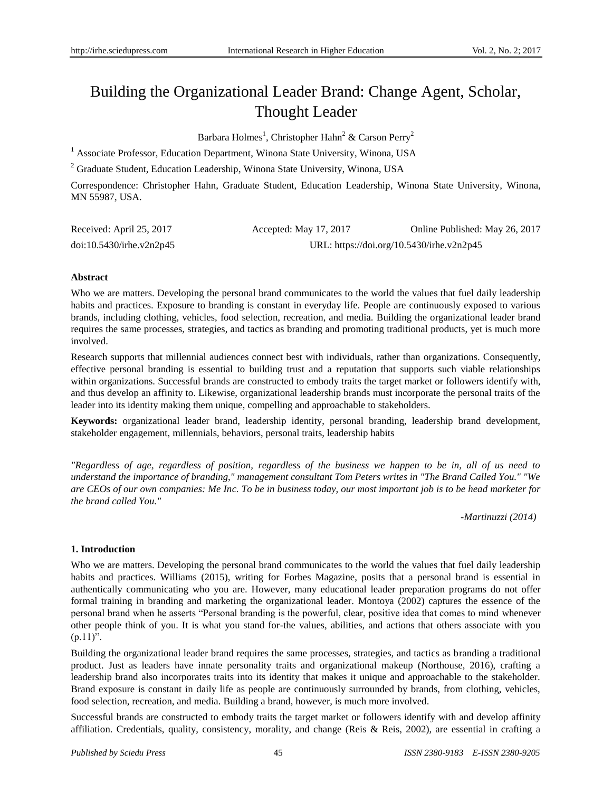## Building the Organizational Leader Brand: Change Agent, Scholar, Thought Leader

Barbara Holmes<sup>1</sup>, Christopher Hahn<sup>2</sup> & Carson Perry<sup>2</sup>

<sup>1</sup> Associate Professor, Education Department, Winona State University, Winona, USA

<sup>2</sup> Graduate Student, Education Leadership, Winona State University, Winona, USA

Correspondence: Christopher Hahn, Graduate Student, Education Leadership, Winona State University, Winona, MN 55987, USA.

| Received: April 25, 2017 | Accepted: May 17, 2017                    | Online Published: May 26, 2017 |
|--------------------------|-------------------------------------------|--------------------------------|
| doi:10.5430/irhe.v2n2p45 | URL: https://doi.org/10.5430/irhe.v2n2p45 |                                |

#### **Abstract**

Who we are matters. Developing the personal brand communicates to the world the values that fuel daily leadership habits and practices. Exposure to branding is constant in everyday life. People are continuously exposed to various brands, including clothing, vehicles, food selection, recreation, and media. Building the organizational leader brand requires the same processes, strategies, and tactics as branding and promoting traditional products, yet is much more involved.

Research supports that millennial audiences connect best with individuals, rather than organizations. Consequently, effective personal branding is essential to building trust and a reputation that supports such viable relationships within organizations. Successful brands are constructed to embody traits the target market or followers identify with, and thus develop an affinity to. Likewise, organizational leadership brands must incorporate the personal traits of the leader into its identity making them unique, compelling and approachable to stakeholders.

**Keywords:** organizational leader brand, leadership identity, personal branding, leadership brand development, stakeholder engagement, millennials, behaviors, personal traits, leadership habits

*"Regardless of age, regardless of position, regardless of the business we happen to be in, all of us need to understand the importance of branding," management consultant Tom Peters writes in "The Brand Called You." "We are CEOs of our own companies: Me Inc. To be in business today, our most important job is to be head marketer for the brand called You."*

 *-Martinuzzi (2014)*

#### **1. Introduction**

Who we are matters. Developing the personal brand communicates to the world the values that fuel daily leadership habits and practices. Williams (2015), writing for Forbes Magazine, posits that a personal brand is essential in authentically communicating who you are. However, many educational leader preparation programs do not offer formal training in branding and marketing the organizational leader. Montoya (2002) captures the essence of the personal brand when he asserts "Personal branding is the powerful, clear, positive idea that comes to mind whenever other people think of you. It is what you stand for-the values, abilities, and actions that others associate with you  $(p.11)$ ".

Building the organizational leader brand requires the same processes, strategies, and tactics as branding a traditional product. Just as leaders have innate personality traits and organizational makeup (Northouse, 2016), crafting a leadership brand also incorporates traits into its identity that makes it unique and approachable to the stakeholder. Brand exposure is constant in daily life as people are continuously surrounded by brands, from clothing, vehicles, food selection, recreation, and media. Building a brand, however, is much more involved.

Successful brands are constructed to embody traits the target market or followers identify with and develop affinity affiliation. Credentials, quality, consistency, morality, and change (Reis & Reis, 2002), are essential in crafting a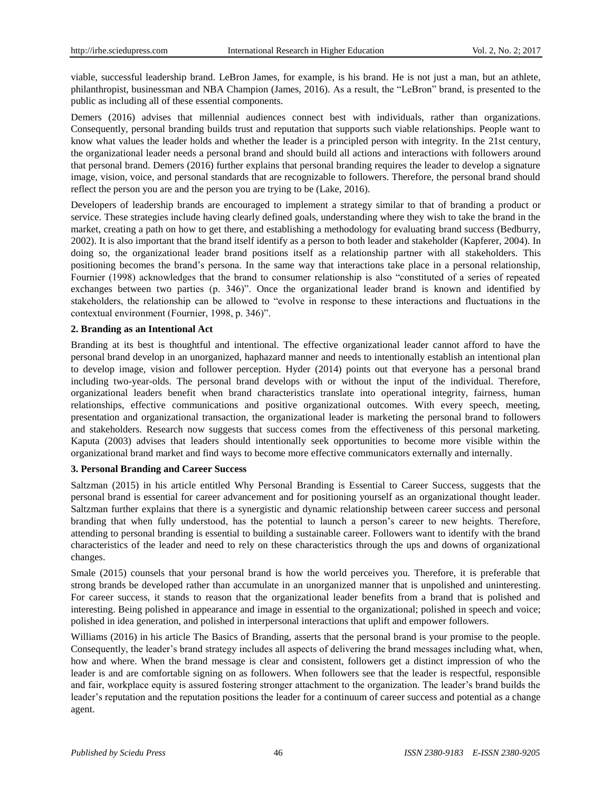viable, successful leadership brand. LeBron James, for example, is his brand. He is not just a man, but an athlete, philanthropist, businessman and NBA Champion (James, 2016). As a result, the "LeBron" brand, is presented to the public as including all of these essential components.

Demers (2016) advises that millennial audiences connect best with individuals, rather than organizations. Consequently, personal branding builds trust and reputation that supports such viable relationships. People want to know what values the leader holds and whether the leader is a principled person with integrity. In the 21st century, the organizational leader needs a personal brand and should build all actions and interactions with followers around that personal brand. Demers (2016) further explains that personal branding requires the leader to develop a signature image, vision, voice, and personal standards that are recognizable to followers. Therefore, the personal brand should reflect the person you are and the person you are trying to be (Lake, 2016).

Developers of leadership brands are encouraged to implement a strategy similar to that of branding a product or service. These strategies include having clearly defined goals, understanding where they wish to take the brand in the market, creating a path on how to get there, and establishing a methodology for evaluating brand success (Bedburry, 2002). It is also important that the brand itself identify as a person to both leader and stakeholder (Kapferer, 2004). In doing so, the organizational leader brand positions itself as a relationship partner with all stakeholders. This positioning becomes the brand's persona. In the same way that interactions take place in a personal relationship, Fournier (1998) acknowledges that the brand to consumer relationship is also "constituted of a series of repeated exchanges between two parties (p. 346)". Once the organizational leader brand is known and identified by stakeholders, the relationship can be allowed to "evolve in response to these interactions and fluctuations in the contextual environment (Fournier, 1998, p. 346)".

#### **2. Branding as an Intentional Act**

Branding at its best is thoughtful and intentional. The effective organizational leader cannot afford to have the personal brand develop in an unorganized, haphazard manner and needs to intentionally establish an intentional plan to develop image, vision and follower perception. Hyder (2014) points out that everyone has a personal brand including two-year-olds. The personal brand develops with or without the input of the individual. Therefore, organizational leaders benefit when brand characteristics translate into operational integrity, fairness, human relationships, effective communications and positive organizational outcomes. With every speech, meeting, presentation and organizational transaction, the organizational leader is marketing the personal brand to followers and stakeholders. Research now suggests that success comes from the effectiveness of this personal marketing. Kaputa (2003) advises that leaders should intentionally seek opportunities to become more visible within the organizational brand market and find ways to become more effective communicators externally and internally.

#### **3. Personal Branding and Career Success**

Saltzman (2015) in his article entitled Why Personal Branding is Essential to Career Success, suggests that the personal brand is essential for career advancement and for positioning yourself as an organizational thought leader. Saltzman further explains that there is a synergistic and dynamic relationship between career success and personal branding that when fully understood, has the potential to launch a person's career to new heights. Therefore, attending to personal branding is essential to building a sustainable career. Followers want to identify with the brand characteristics of the leader and need to rely on these characteristics through the ups and downs of organizational changes.

Smale (2015) counsels that your personal brand is how the world perceives you. Therefore, it is preferable that strong brands be developed rather than accumulate in an unorganized manner that is unpolished and uninteresting. For career success, it stands to reason that the organizational leader benefits from a brand that is polished and interesting. Being polished in appearance and image in essential to the organizational; polished in speech and voice; polished in idea generation, and polished in interpersonal interactions that uplift and empower followers.

Williams (2016) in his article The Basics of Branding, asserts that the personal brand is your promise to the people. Consequently, the leader's brand strategy includes all aspects of delivering the brand messages including what, when, how and where. When the brand message is clear and consistent, followers get a distinct impression of who the leader is and are comfortable signing on as followers. When followers see that the leader is respectful, responsible and fair, workplace equity is assured fostering stronger attachment to the organization. The leader's brand builds the leader's reputation and the reputation positions the leader for a continuum of career success and potential as a change agent.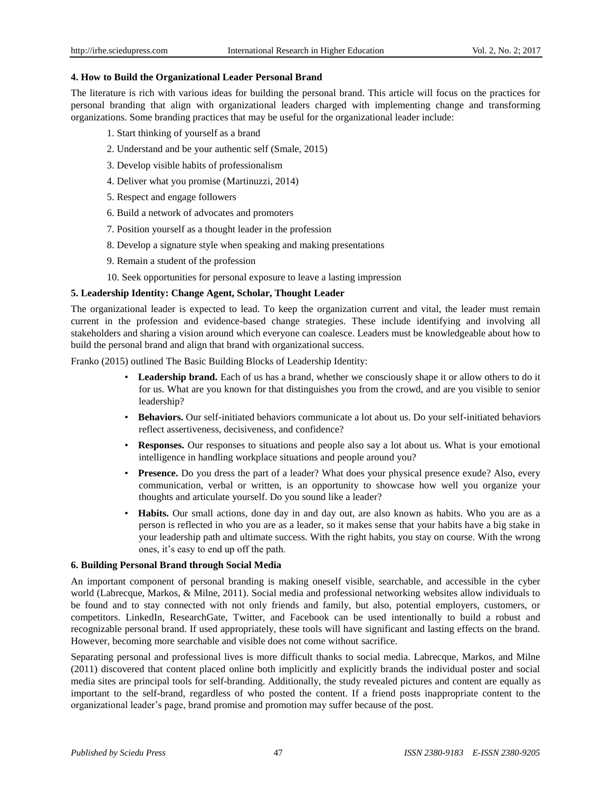#### **4. How to Build the Organizational Leader Personal Brand**

The literature is rich with various ideas for building the personal brand. This article will focus on the practices for personal branding that align with organizational leaders charged with implementing change and transforming organizations. Some branding practices that may be useful for the organizational leader include:

- 1. Start thinking of yourself as a brand
- 2. Understand and be your authentic self (Smale, 2015)
- 3. Develop visible habits of professionalism
- 4. Deliver what you promise (Martinuzzi, 2014)
- 5. Respect and engage followers
- 6. Build a network of advocates and promoters
- 7. Position yourself as a thought leader in the profession
- 8. Develop a signature style when speaking and making presentations
- 9. Remain a student of the profession
- 10. Seek opportunities for personal exposure to leave a lasting impression

#### **5. Leadership Identity: Change Agent, Scholar, Thought Leader**

The organizational leader is expected to lead. To keep the organization current and vital, the leader must remain current in the profession and evidence-based change strategies. These include identifying and involving all stakeholders and sharing a vision around which everyone can coalesce. Leaders must be knowledgeable about how to build the personal brand and align that brand with organizational success.

Franko (2015) outlined The Basic Building Blocks of Leadership Identity:

- **Leadership brand.** Each of us has a brand, whether we consciously shape it or allow others to do it for us. What are you known for that distinguishes you from the crowd, and are you visible to senior leadership?
- **Behaviors.** Our self-initiated behaviors communicate a lot about us. Do your self-initiated behaviors reflect assertiveness, decisiveness, and confidence?
- **Responses.** Our responses to situations and people also say a lot about us. What is your emotional intelligence in handling workplace situations and people around you?
- **Presence.** Do you dress the part of a leader? What does your physical presence exude? Also, every communication, verbal or written, is an opportunity to showcase how well you organize your thoughts and articulate yourself. Do you sound like a leader?
- **Habits.** Our small actions, done day in and day out, are also known as habits. Who you are as a person is reflected in who you are as a leader, so it makes sense that your habits have a big stake in your leadership path and ultimate success. With the right habits, you stay on course. With the wrong ones, it's easy to end up off the path.

#### **6. Building Personal Brand through Social Media**

An important component of personal branding is making oneself visible, searchable, and accessible in the cyber world (Labrecque, Markos, & Milne, 2011). Social media and professional networking websites allow individuals to be found and to stay connected with not only friends and family, but also, potential employers, customers, or competitors. LinkedIn, ResearchGate, Twitter, and Facebook can be used intentionally to build a robust and recognizable personal brand. If used appropriately, these tools will have significant and lasting effects on the brand. However, becoming more searchable and visible does not come without sacrifice.

Separating personal and professional lives is more difficult thanks to social media. Labrecque, Markos, and Milne (2011) discovered that content placed online both implicitly and explicitly brands the individual poster and social media sites are principal tools for self-branding. Additionally, the study revealed pictures and content are equally as important to the self-brand, regardless of who posted the content. If a friend posts inappropriate content to the organizational leader's page, brand promise and promotion may suffer because of the post.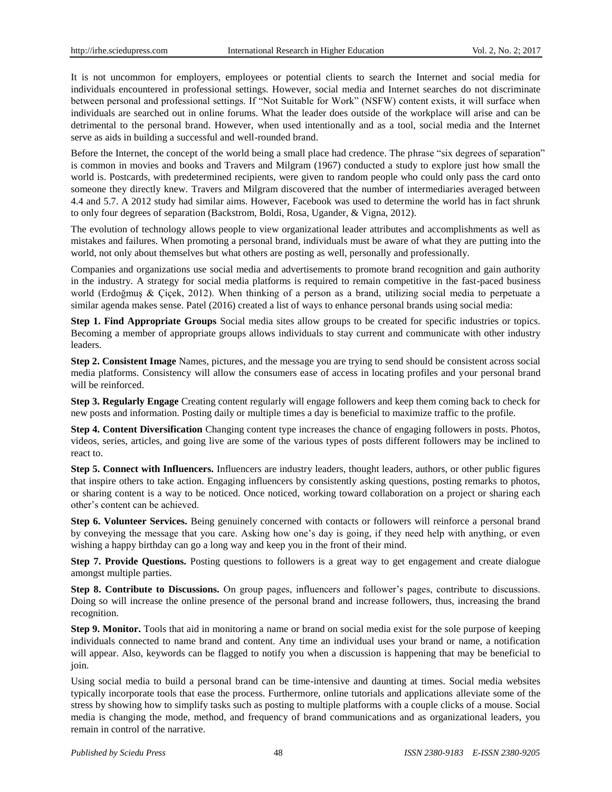It is not uncommon for employers, employees or potential clients to search the Internet and social media for individuals encountered in professional settings. However, social media and Internet searches do not discriminate between personal and professional settings. If "Not Suitable for Work" (NSFW) content exists, it will surface when individuals are searched out in online forums. What the leader does outside of the workplace will arise and can be detrimental to the personal brand. However, when used intentionally and as a tool, social media and the Internet serve as aids in building a successful and well-rounded brand.

Before the Internet, the concept of the world being a small place had credence. The phrase "six degrees of separation" is common in movies and books and Travers and Milgram (1967) conducted a study to explore just how small the world is. Postcards, with predetermined recipients, were given to random people who could only pass the card onto someone they directly knew. Travers and Milgram discovered that the number of intermediaries averaged between 4.4 and 5.7. A 2012 study had similar aims. However, Facebook was used to determine the world has in fact shrunk to only four degrees of separation (Backstrom, Boldi, Rosa, Ugander, & Vigna, 2012).

The evolution of technology allows people to view organizational leader attributes and accomplishments as well as mistakes and failures. When promoting a personal brand, individuals must be aware of what they are putting into the world, not only about themselves but what others are posting as well, personally and professionally.

Companies and organizations use social media and advertisements to promote brand recognition and gain authority in the industry. A strategy for social media platforms is required to remain competitive in the fast-paced business world (Erdoğmuş & Çiçek, 2012). When thinking of a person as a brand, utilizing social media to perpetuate a similar agenda makes sense. Patel (2016) created a list of ways to enhance personal brands using social media:

**Step 1. Find Appropriate Groups** Social media sites allow groups to be created for specific industries or topics. Becoming a member of appropriate groups allows individuals to stay current and communicate with other industry leaders.

**Step 2. Consistent Image** Names, pictures, and the message you are trying to send should be consistent across social media platforms. Consistency will allow the consumers ease of access in locating profiles and your personal brand will be reinforced.

**Step 3. Regularly Engage** Creating content regularly will engage followers and keep them coming back to check for new posts and information. Posting daily or multiple times a day is beneficial to maximize traffic to the profile.

**Step 4. Content Diversification** Changing content type increases the chance of engaging followers in posts. Photos, videos, series, articles, and going live are some of the various types of posts different followers may be inclined to react to.

**Step 5. Connect with Influencers.** Influencers are industry leaders, thought leaders, authors, or other public figures that inspire others to take action. Engaging influencers by consistently asking questions, posting remarks to photos, or sharing content is a way to be noticed. Once noticed, working toward collaboration on a project or sharing each other's content can be achieved.

**Step 6. Volunteer Services.** Being genuinely concerned with contacts or followers will reinforce a personal brand by conveying the message that you care. Asking how one's day is going, if they need help with anything, or even wishing a happy birthday can go a long way and keep you in the front of their mind.

**Step 7. Provide Questions.** Posting questions to followers is a great way to get engagement and create dialogue amongst multiple parties.

**Step 8. Contribute to Discussions.** On group pages, influencers and follower's pages, contribute to discussions. Doing so will increase the online presence of the personal brand and increase followers, thus, increasing the brand recognition.

**Step 9. Monitor.** Tools that aid in monitoring a name or brand on social media exist for the sole purpose of keeping individuals connected to name brand and content. Any time an individual uses your brand or name, a notification will appear. Also, keywords can be flagged to notify you when a discussion is happening that may be beneficial to join.

Using social media to build a personal brand can be time-intensive and daunting at times. Social media websites typically incorporate tools that ease the process. Furthermore, online tutorials and applications alleviate some of the stress by showing how to simplify tasks such as posting to multiple platforms with a couple clicks of a mouse. Social media is changing the mode, method, and frequency of brand communications and as organizational leaders, you remain in control of the narrative.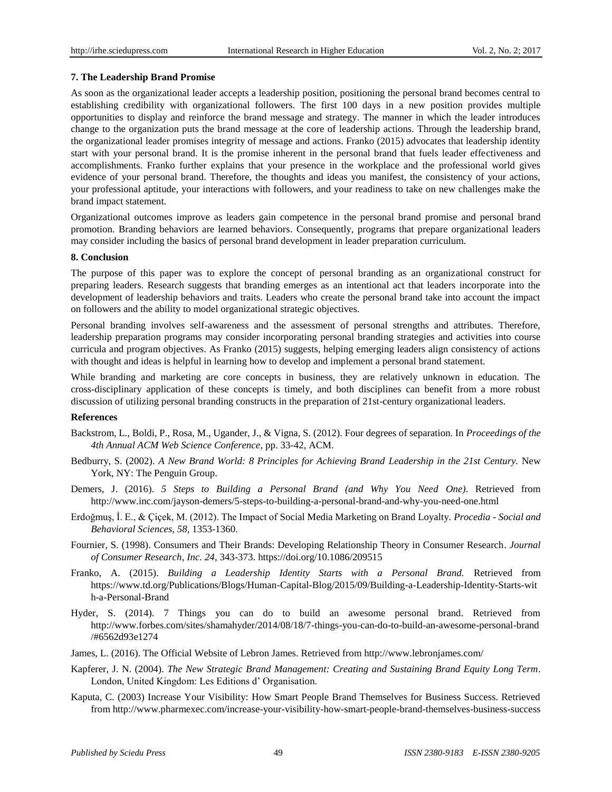#### **7. The Leadership Brand Promise**

As soon as the organizational leader accepts a leadership position, positioning the personal brand becomes central to establishing credibility with organizational followers. The first 100 days in a new position provides multiple opportunities to display and reinforce the brand message and strategy. The manner in which the leader introduces change to the organization puts the brand message at the core of leadership actions. Through the leadership brand, the organizational leader promises integrity of message and actions. Franko (2015) advocates that leadership identity start with your personal brand. It is the promise inherent in the personal brand that fuels leader effectiveness and accomplishments. Franko further explains that your presence in the workplace and the professional world gives evidence of your personal brand. Therefore, the thoughts and ideas you manifest, the consistency of your actions, your professional aptitude, your interactions with followers, and your readiness to take on new challenges make the brand impact statement.

Organizational outcomes improve as leaders gain competence in the personal brand promise and personal brand promotion. Branding behaviors are learned behaviors. Consequently, programs that prepare organizational leaders may consider including the basics of personal brand development in leader preparation curriculum.

#### **8. Conclusion**

The purpose of this paper was to explore the concept of personal branding as an organizational construct for preparing leaders. Research suggests that branding emerges as an intentional act that leaders incorporate into the development of leadership behaviors and traits. Leaders who create the personal brand take into account the impact on followers and the ability to model organizational strategic objectives.

Personal branding involves self-awareness and the assessment of personal strengths and attributes. Therefore, leadership preparation programs may consider incorporating personal branding strategies and activities into course curricula and program objectives. As Franko (2015) suggests, helping emerging leaders align consistency of actions with thought and ideas is helpful in learning how to develop and implement a personal brand statement.

While branding and marketing are core concepts in business, they are relatively unknown in education. The cross-disciplinary application of these concepts is timely, and both disciplines can benefit from a more robust discussion of utilizing personal branding constructs in the preparation of 21st-century organizational leaders.

#### **References**

- Backstrom, L., Boldi, P., Rosa, M., Ugander, J., & Vigna, S. (2012). Four degrees of separation. In *Proceedings of the 4th Annual ACM Web Science Conference*, pp. 33-42, ACM.
- Bedburry, S. (2002). *A New Brand World: 8 Principles for Achieving Brand Leadership in the 21st Century.* New York, NY: The Penguin Group.
- Demers, J. (2016). *5 Steps to Building a Personal Brand (and Why You Need One)*. Retrieved from <http://www.inc.com/jayson-demers/5-steps-to-building-a-personal-brand-and-why-you-need-one.html>
- Erdoğmuş, İ. E., & Çiçek, M. (2012). The Impact of Social Media Marketing on Brand Loyalty. *Procedia - Social and Behavioral Sciences, 58*, 1353-1360.
- Fournier, S. (1998). Consumers and Their Brands: Developing Relationship Theory in Consumer Research. *Journal of Consumer Research*, *Inc. 24*, 343-373. https://doi.org/10.1086/209515
- Franko, A. (2015). *Building a Leadership Identity Starts with a Personal Brand.* Retrieved from [https://www.td.org/Publications/Blogs/Human-Capital-Blog/2015/09/Building-a-Leadership-Identity-Starts-wit](https://www.td.org/Publications/Blogs/Human-Capital-Blog/2015/09/Building-a-Leadership-Identity-Starts-with-a-Personal-Brand) [h-a-Personal-Brand](https://www.td.org/Publications/Blogs/Human-Capital-Blog/2015/09/Building-a-Leadership-Identity-Starts-with-a-Personal-Brand)
- Hyder, S. (2014). 7 Things you can do to build an awesome personal brand. Retrieved from [http://www.forbes.com/sites/shamahyder/2014/08/18/7-things-you-can-do-to-build-an-awesome-personal-brand](http://www.forbes.com/sites/shamahyder/2014/08/18/7-things-you-can-do-to-build-an-awesome-personal-brand/#6562d93e1274) [/#6562d93e1274](http://www.forbes.com/sites/shamahyder/2014/08/18/7-things-you-can-do-to-build-an-awesome-personal-brand/#6562d93e1274)
- James, L. (2016). The Official Website of Lebron James. Retrieved from http://www.lebronjames.com/
- Kapferer, J. N. (2004). *The New Strategic Brand Management: Creating and Sustaining Brand Equity Long Term*. London, United Kingdom: Les Editions d' Organisation.
- Kaputa, C. (2003) Increase Your Visibility: How Smart People Brand Themselves for Business Success. Retrieved from<http://www.pharmexec.com/increase-your-visibility-how-smart-people-brand-themselves-business-success>